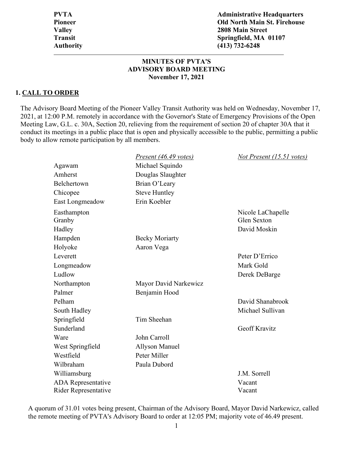**PVTA Administrative Headquarters Pioneer Old North Main St. Firehouse Valley 2808 Main Street Transit Springfield, MA 01107 Authority (413) 732-6248**

#### **MINUTES OF PVTA'S ADVISORY BOARD MEETING November 17, 2021**

#### **1. CALL TO ORDER**

The Advisory Board Meeting of the Pioneer Valley Transit Authority was held on Wednesday, November 17, 2021, at 12:00 P.M. remotely in accordance with the Governor's State of Emergency Provisions of the Open Meeting Law, G.L. c. 30A, Section 20, relieving from the requirement of section 20 of chapter 30A that it conduct its meetings in a public place that is open and physically accessible to the public, permitting a public body to allow remote participation by all members.

|                             | Present (46.49 votes) | Not Present (15.51 votes) |
|-----------------------------|-----------------------|---------------------------|
| Agawam                      | Michael Squindo       |                           |
| Amherst                     | Douglas Slaughter     |                           |
| Belchertown                 | Brian O'Leary         |                           |
| Chicopee                    | <b>Steve Huntley</b>  |                           |
| East Longmeadow             | Erin Koebler          |                           |
| Easthampton                 |                       | Nicole LaChapelle         |
| Granby                      |                       | <b>Glen Sexton</b>        |
| Hadley                      |                       | David Moskin              |
| Hampden                     | <b>Becky Moriarty</b> |                           |
| Holyoke                     | Aaron Vega            |                           |
| Leverett                    |                       | Peter D'Errico            |
| Longmeadow                  |                       | Mark Gold                 |
| Ludlow                      |                       | Derek DeBarge             |
| Northampton                 | Mayor David Narkewicz |                           |
| Palmer                      | Benjamin Hood         |                           |
| Pelham                      |                       | David Shanabrook          |
| South Hadley                |                       | Michael Sullivan          |
| Springfield                 | Tim Sheehan           |                           |
| Sunderland                  |                       | <b>Geoff Kravitz</b>      |
| Ware                        | John Carroll          |                           |
| West Springfield            | <b>Allyson Manuel</b> |                           |
| Westfield                   | Peter Miller          |                           |
| Wilbraham                   | Paula Dubord          |                           |
| Williamsburg                |                       | J.M. Sorrell              |
| <b>ADA</b> Representative   |                       | Vacant                    |
| <b>Rider Representative</b> |                       | Vacant                    |

A quorum of 31.01 votes being present, Chairman of the Advisory Board, Mayor David Narkewicz, called the remote meeting of PVTA's Advisory Board to order at 12:05 PM; majority vote of 46.49 present.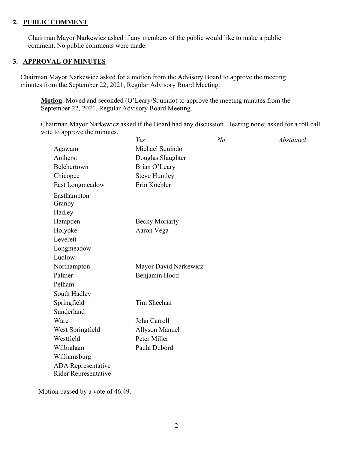#### **2. PUBLIC COMMENT**

Chairman Mayor Narkewicz asked if any members of the public would like to make a public comment. No public comments were made.

# **3. APPROVAL OF MINUTES**

Chairman Mayor Narkewicz asked for a motion from the Advisory Board to approve the meeting minutes from the September 22, 2021, Regular Advisory Board Meeting.

**Motion**: Moved and seconded (O'Leary/Squindo) to approve the meeting minutes from the September 22, 2021, Regular Advisory Board Meeting.

Chairman Mayor Narkewicz asked if the Board had any discussion. Hearing none; asked for a roll call vote to approve the minutes.

|                             | <u>Yes</u>            | <u>No</u> | Abstained |
|-----------------------------|-----------------------|-----------|-----------|
| Agawam                      | Michael Squindo       |           |           |
| Amherst                     | Douglas Slaughter     |           |           |
| Belchertown                 | Brian O'Leary         |           |           |
| Chicopee                    | <b>Steve Huntley</b>  |           |           |
| East Longmeadow             | Erin Koebler          |           |           |
| Easthampton                 |                       |           |           |
| Granby                      |                       |           |           |
| Hadley                      |                       |           |           |
| Hampden                     | <b>Becky Moriarty</b> |           |           |
| Holyoke                     | Aaron Vega            |           |           |
| Leverett                    |                       |           |           |
| Longmeadow                  |                       |           |           |
| Ludlow                      |                       |           |           |
| Northampton                 | Mayor David Narkewicz |           |           |
| Palmer                      | Benjamin Hood         |           |           |
| Pelham                      |                       |           |           |
| South Hadley                |                       |           |           |
| Springfield                 | Tim Sheehan           |           |           |
| Sunderland                  |                       |           |           |
| Ware                        | John Carroll          |           |           |
| West Springfield            | <b>Allyson Manuel</b> |           |           |
| Westfield                   | Peter Miller          |           |           |
| Wilbraham                   | Paula Dubord          |           |           |
| Williamsburg                |                       |           |           |
| <b>ADA</b> Representative   |                       |           |           |
| <b>Rider Representative</b> |                       |           |           |

Motion passed by a vote of 46.49.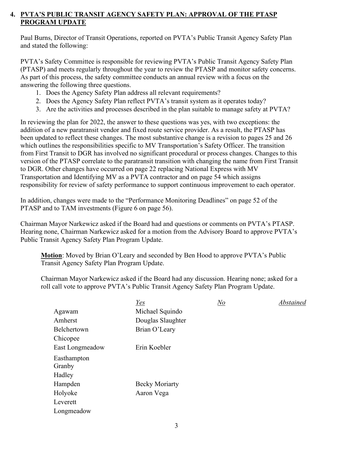# **4. PVTA'S PUBLIC TRANSIT AGENCY SAFETY PLAN: APPROVAL OF THE PTASP PROGRAM UPDATE**

Paul Burns, Director of Transit Operations, reported on PVTA's Public Transit Agency Safety Plan and stated the following:

PVTA's Safety Committee is responsible for reviewing PVTA's Public Transit Agency Safety Plan (PTASP) and meets regularly throughout the year to review the PTASP and monitor safety concerns. As part of this process, the safety committee conducts an annual review with a focus on the answering the following three questions.

- 1. Does the Agency Safety Plan address all relevant requirements?
- 2. Does the Agency Safety Plan reflect PVTA's transit system as it operates today?
- 3. Are the activities and processes described in the plan suitable to manage safety at PVTA?

In reviewing the plan for 2022, the answer to these questions was yes, with two exceptions: the addition of a new paratransit vendor and fixed route service provider. As a result, the PTASP has been updated to reflect these changes. The most substantive change is a revision to pages 25 and 26 which outlines the responsibilities specific to MV Transportation's Safety Officer. The transition from First Transit to DGR has involved no significant procedural or process changes. Changes to this version of the PTASP correlate to the paratransit transition with changing the name from First Transit to DGR. Other changes have occurred on page 22 replacing National Express with MV Transportation and Identifying MV as a PVTA contractor and on page 54 which assigns responsibility for review of safety performance to support continuous improvement to each operator.

In addition, changes were made to the "Performance Monitoring Deadlines" on page 52 of the PTASP and to TAM investments (Figure 6 on page 56).

Chairman Mayor Narkewicz asked if the Board had and questions or comments on PVTA's PTASP. Hearing none, Chairman Narkewicz asked for a motion from the Advisory Board to approve PVTA's Public Transit Agency Safety Plan Program Update.

**Motion**: Moved by Brian O'Leary and seconded by Ben Hood to approve PVTA's Public Transit Agency Safety Plan Program Update.

Chairman Mayor Narkewicz asked if the Board had any discussion. Hearing none; asked for a roll call vote to approve PVTA's Public Transit Agency Safety Plan Program Update.

|                 | Yes                   | $N\!o$ | Abstained |
|-----------------|-----------------------|--------|-----------|
| Agawam          | Michael Squindo       |        |           |
| Amherst         | Douglas Slaughter     |        |           |
| Belchertown     | Brian O'Leary         |        |           |
| Chicopee        |                       |        |           |
| East Longmeadow | Erin Koebler          |        |           |
| Easthampton     |                       |        |           |
| Granby          |                       |        |           |
| Hadley          |                       |        |           |
| Hampden         | <b>Becky Moriarty</b> |        |           |
| Holyoke         | Aaron Vega            |        |           |
| Leverett        |                       |        |           |
| Longmeadow      |                       |        |           |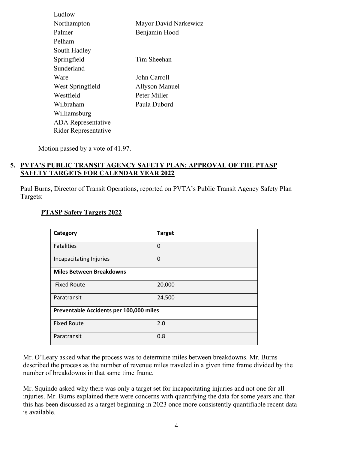| Ludlow                    |                       |
|---------------------------|-----------------------|
| Northampton               | Mayor David Narkewicz |
| Palmer                    | Benjamin Hood         |
| Pelham                    |                       |
| South Hadley              |                       |
| Springfield               | Tim Sheehan           |
| Sunderland                |                       |
| Ware                      | John Carroll          |
| West Springfield          | Allyson Manuel        |
| Westfield                 | Peter Miller          |
| Wilbraham                 | Paula Dubord          |
| Williamsburg              |                       |
| <b>ADA</b> Representative |                       |
| Rider Representative      |                       |
|                           |                       |

Motion passed by a vote of 41.97.

# **5. PVTA'S PUBLIC TRANSIT AGENCY SAFETY PLAN: APPROVAL OF THE PTASP SAFETY TARGETS FOR CALENDAR YEAR 2022**

Paul Burns, Director of Transit Operations, reported on PVTA's Public Transit Agency Safety Plan Targets:

# **PTASP Safety Targets 2022**

| Category                                | <b>Target</b> |  |
|-----------------------------------------|---------------|--|
| <b>Fatalities</b>                       | 0             |  |
| Incapacitating Injuries                 | 0             |  |
| <b>Miles Between Breakdowns</b>         |               |  |
| <b>Fixed Route</b>                      | 20,000        |  |
| Paratransit                             | 24,500        |  |
| Preventable Accidents per 100,000 miles |               |  |
| <b>Fixed Route</b>                      | 2.0           |  |
| Paratransit                             | 0.8           |  |

Mr. O'Leary asked what the process was to determine miles between breakdowns. Mr. Burns described the process as the number of revenue miles traveled in a given time frame divided by the number of breakdowns in that same time frame.

Mr. Squindo asked why there was only a target set for incapacitating injuries and not one for all injuries. Mr. Burns explained there were concerns with quantifying the data for some years and that this has been discussed as a target beginning in 2023 once more consistently quantifiable recent data is available.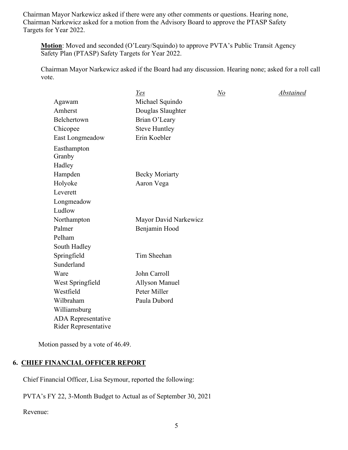Chairman Mayor Narkewicz asked if there were any other comments or questions. Hearing none, Chairman Narkewicz asked for a motion from the Advisory Board to approve the PTASP Safety Targets for Year 2022.

**Motion**: Moved and seconded (O'Leary/Squindo) to approve PVTA's Public Transit Agency Safety Plan (PTASP) Safety Targets for Year 2022.

Chairman Mayor Narkewicz asked if the Board had any discussion. Hearing none; asked for a roll call vote.

| Yes                   | $\underline{No}$ | Abstained |
|-----------------------|------------------|-----------|
| Michael Squindo       |                  |           |
| Douglas Slaughter     |                  |           |
| Brian O'Leary         |                  |           |
| <b>Steve Huntley</b>  |                  |           |
| Erin Koebler          |                  |           |
|                       |                  |           |
|                       |                  |           |
| <b>Becky Moriarty</b> |                  |           |
| Aaron Vega            |                  |           |
|                       |                  |           |
|                       |                  |           |
|                       |                  |           |
| Mayor David Narkewicz |                  |           |
| Benjamin Hood         |                  |           |
|                       |                  |           |
|                       |                  |           |
| Tim Sheehan           |                  |           |
|                       |                  |           |
| John Carroll          |                  |           |
| <b>Allyson Manuel</b> |                  |           |
| Peter Miller          |                  |           |
| Paula Dubord          |                  |           |
|                       |                  |           |
|                       |                  |           |
|                       |                  |           |

Motion passed by a vote of 46.49.

# **6. CHIEF FINANCIAL OFFICER REPORT**

Chief Financial Officer, Lisa Seymour, reported the following:

PVTA's FY 22, 3-Month Budget to Actual as of September 30, 2021

Revenue: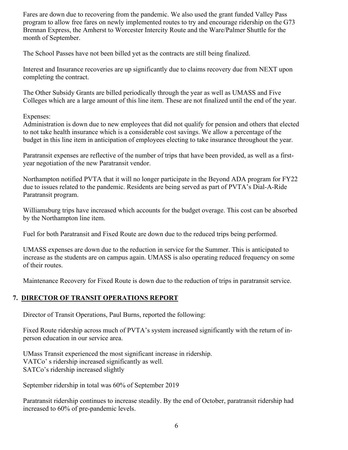Fares are down due to recovering from the pandemic. We also used the grant funded Valley Pass program to allow free fares on newly implemented routes to try and encourage ridership on the G73 Brennan Express, the Amherst to Worcester Intercity Route and the Ware/Palmer Shuttle for the month of September.

The School Passes have not been billed yet as the contracts are still being finalized.

Interest and Insurance recoveries are up significantly due to claims recovery due from NEXT upon completing the contract.

The Other Subsidy Grants are billed periodically through the year as well as UMASS and Five Colleges which are a large amount of this line item. These are not finalized until the end of the year.

Expenses:

Administration is down due to new employees that did not qualify for pension and others that elected to not take health insurance which is a considerable cost savings. We allow a percentage of the budget in this line item in anticipation of employees electing to take insurance throughout the year.

Paratransit expenses are reflective of the number of trips that have been provided, as well as a firstyear negotiation of the new Paratransit vendor.

Northampton notified PVTA that it will no longer participate in the Beyond ADA program for FY22 due to issues related to the pandemic. Residents are being served as part of PVTA's Dial-A-Ride Paratransit program.

Williamsburg trips have increased which accounts for the budget overage. This cost can be absorbed by the Northampton line item.

Fuel for both Paratransit and Fixed Route are down due to the reduced trips being performed.

UMASS expenses are down due to the reduction in service for the Summer. This is anticipated to increase as the students are on campus again. UMASS is also operating reduced frequency on some of their routes.

Maintenance Recovery for Fixed Route is down due to the reduction of trips in paratransit service.

# **7. DIRECTOR OF TRANSIT OPERATIONS REPORT**

Director of Transit Operations, Paul Burns, reported the following:

Fixed Route ridership across much of PVTA's system increased significantly with the return of inperson education in our service area.

UMass Transit experienced the most significant increase in ridership. VATCo' s ridership increased significantly as well. SATCo's ridership increased slightly

September ridership in total was 60% of September 2019

Paratransit ridership continues to increase steadily. By the end of October, paratransit ridership had increased to 60% of pre-pandemic levels.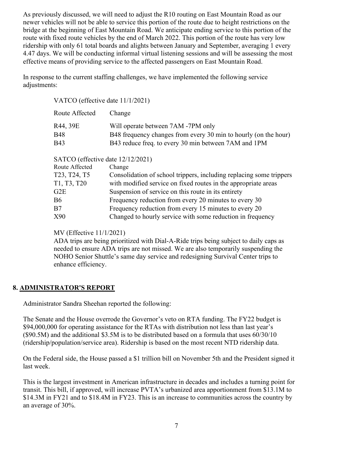As previously discussed, we will need to adjust the R10 routing on East Mountain Road as our newer vehicles will not be able to service this portion of the route due to height restrictions on the bridge at the beginning of East Mountain Road. We anticipate ending service to this portion of the route with fixed route vehicles by the end of March 2022. This portion of the route has very low ridership with only 61 total boards and alights between January and September, averaging 1 every 4.47 days. We will be conducting informal virtual listening sessions and will be assessing the most effective means of providing service to the affected passengers on East Mountain Road.

In response to the current staffing challenges, we have implemented the following service adjustments:

VATCO (effective date 11/1/2021)

| Route Affected | Change                                                          |
|----------------|-----------------------------------------------------------------|
| R44, 39E       | Will operate between 7AM -7PM only                              |
| B48            | B48 frequency changes from every 30 min to hourly (on the hour) |
| B43            | B43 reduce freq. to every 30 min between 7AM and 1PM            |

SATCO (effective date 12/12/2021)

| Route Affected | Change                                                              |
|----------------|---------------------------------------------------------------------|
| T23, T24, T5   | Consolidation of school trippers, including replacing some trippers |
| T1, T3, T20    | with modified service on fixed routes in the appropriate areas      |
| G2E            | Suspension of service on this route in its entirety                 |
| <b>B6</b>      | Frequency reduction from every 20 minutes to every 30               |
| B7             | Frequency reduction from every 15 minutes to every 20               |
| X90            | Changed to hourly service with some reduction in frequency          |

MV (Effective 11/1/2021)

ADA trips are being prioritized with Dial-A-Ride trips being subject to daily caps as needed to ensure ADA trips are not missed. We are also temporarily suspending the NOHO Senior Shuttle's same day service and redesigning Survival Center trips to enhance efficiency.

# **8. ADMINISTRATOR'S REPORT**

Administrator Sandra Sheehan reported the following:

The Senate and the House overrode the Governor's veto on RTA funding. The FY22 budget is \$94,000,000 for operating assistance for the RTAs with distribution not less than last year's  $(S90.5M)$  and the additional \$3.5M is to be distributed based on a formula that uses  $60/30/10$ (ridership/population/service area). Ridership is based on the most recent NTD ridership data.

On the Federal side, the House passed a \$1 trillion bill on November 5th and the President signed it last week.

This is the largest investment in American infrastructure in decades and includes a turning point for transit. This bill, if approved, will increase PVTA's urbanized area apportionment from \$13.1M to \$14.3M in FY21 and to \$18.4M in FY23. This is an increase to communities across the country by an average of 30%.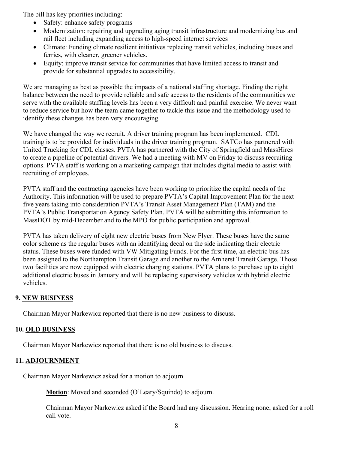The bill has key priorities including:

- Safety: enhance safety programs
- Modernization: repairing and upgrading aging transit infrastructure and modernizing bus and rail fleet including expanding access to high-speed internet services
- Climate: Funding climate resilient initiatives replacing transit vehicles, including buses and ferries, with cleaner, greener vehicles.
- Equity: improve transit service for communities that have limited access to transit and provide for substantial upgrades to accessibility.

We are managing as best as possible the impacts of a national staffing shortage. Finding the right balance between the need to provide reliable and safe access to the residents of the communities we serve with the available staffing levels has been a very difficult and painful exercise. We never want to reduce service but how the team came together to tackle this issue and the methodology used to identify these changes has been very encouraging.

We have changed the way we recruit. A driver training program has been implemented. CDL training is to be provided for individuals in the driver training program. SATCo has partnered with United Trucking for CDL classes. PVTA has partnered with the City of Springfield and MassHires to create a pipeline of potential drivers. We had a meeting with MV on Friday to discuss recruiting options. PVTA staff is working on a marketing campaign that includes digital media to assist with recruiting of employees.

PVTA staff and the contracting agencies have been working to prioritize the capital needs of the Authority. This information will be used to prepare PVTA's Capital Improvement Plan for the next five years taking into consideration PVTA's Transit Asset Management Plan (TAM) and the PVTA's Public Transportation Agency Safety Plan. PVTA will be submitting this information to MassDOT by mid-December and to the MPO for public participation and approval.

PVTA has taken delivery of eight new electric buses from New Flyer. These buses have the same color scheme as the regular buses with an identifying decal on the side indicating their electric status. These buses were funded with VW Mitigating Funds. For the first time, an electric bus has been assigned to the Northampton Transit Garage and another to the Amherst Transit Garage. Those two facilities are now equipped with electric charging stations. PVTA plans to purchase up to eight additional electric buses in January and will be replacing supervisory vehicles with hybrid electric vehicles.

## **9. NEW BUSINESS**

Chairman Mayor Narkewicz reported that there is no new business to discuss.

#### **10. OLD BUSINESS**

Chairman Mayor Narkewicz reported that there is no old business to discuss.

## **11. ADJOURNMENT**

Chairman Mayor Narkewicz asked for a motion to adjourn.

**Motion**: Moved and seconded (O'Leary/Squindo) to adjourn.

Chairman Mayor Narkewicz asked if the Board had any discussion. Hearing none; asked for a roll call vote.